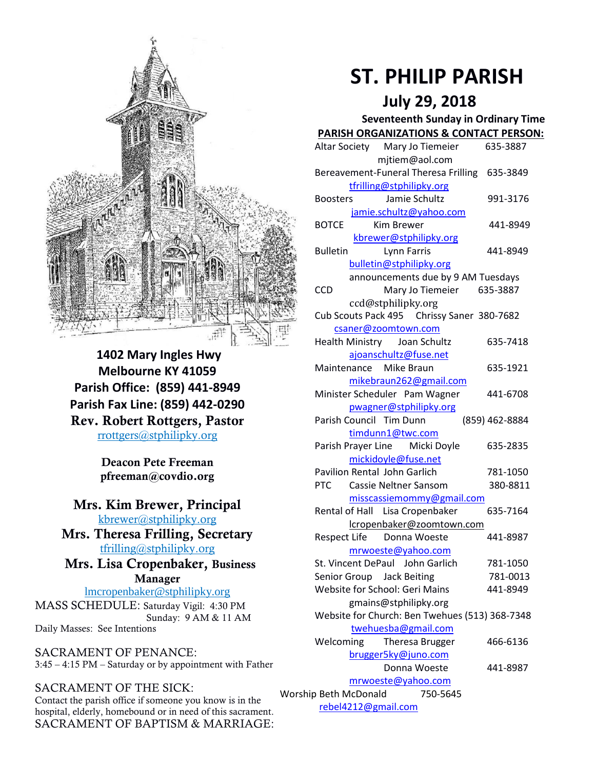

**1402 Mary Ingles Hwy Melbourne KY 41059 Parish Office: (859) 441-8949 Parish Fax Line: (859) 442-0290 Rev. Robert Rottgers, Pastor**  [rrottgers@stphilipky.org](mailto:rrottgers@stphilipky.org)

> **Deacon Pete Freeman pfreeman@covdio.org**

#### **Mrs. Kim Brewer, Principal**  [kbrewer@stphilipky.org](mailto:kbrewer@stphilipky.org)

**Mrs. Theresa Frilling, Secretary**  [tfrilling@stphilipky.org](mailto:tfrilling@stphilipky.org)

#### **Mrs. Lisa Cropenbaker, Business Manager**

lmcropenbaker@stphilipky.org MASS SCHEDULE: Saturday Vigil: 4:30 PM Sunday: 9 AM & 11 AM

Daily Masses: See Intentions

SACRAMENT OF PENANCE: 3:45 – 4:15 PM – Saturday or by appointment with Father

## SACRAMENT OF THE SICK:

Contact the parish office if someone you know is in the hospital, elderly, homebound or in need of this sacrament. SACRAMENT OF BAPTISM & MARRIAGE:

# **ST. PHILIP PARISH**

## **July 29, 2018**

#### **Seventeenth Sunday in Ordinary Time PARISH ORGANIZATIONS & CONTACT PERSON:**

|                                   | Altar Society Mary Jo Tiemeier                         | 635-3887       |
|-----------------------------------|--------------------------------------------------------|----------------|
|                                   | mjtiem@aol.com                                         |                |
|                                   | Bereavement-Funeral Theresa Frilling 635-3849          |                |
|                                   | tfrilling@stphilipky.org                               |                |
|                                   | Jamie Schultz<br><b>Boosters</b>                       | 991-3176       |
|                                   | jamie.schultz@yahoo.com                                |                |
|                                   | <b>BOTCE</b><br>Kim Brewer                             | 441-8949       |
|                                   | kbrewer@stphilipky.org                                 |                |
|                                   | <b>Bulletin</b><br>Lynn Farris                         | 441-8949       |
|                                   | bulletin@stphilipky.org                                |                |
|                                   | announcements due by 9 AM Tuesdays                     |                |
|                                   | <b>CCD</b><br>Mary Jo Tiemeier 635-3887                |                |
|                                   | ccd@stphilipky.org                                     |                |
|                                   | Cub Scouts Pack 495 Chrissy Saner 380-7682             |                |
|                                   | csaner@zoomtown.com                                    |                |
|                                   | Health Ministry Joan Schultz                           | 635-7418       |
|                                   | ajoanschultz@fuse.net                                  |                |
|                                   | Maintenance Mike Braun                                 | 635-1921       |
|                                   | mikebraun262@gmail.com                                 |                |
|                                   | Minister Scheduler Pam Wagner                          | 441-6708       |
|                                   | pwagner@stphilipky.org                                 |                |
|                                   | Parish Council Tim Dunn                                | (859) 462-8884 |
|                                   | timdunn1@twc.com                                       |                |
|                                   | Parish Prayer Line Micki Doyle                         | 635-2835       |
|                                   | mickidoyle@fuse.net<br>Pavilion Rental John Garlich    |                |
|                                   | <b>PTC</b>                                             | 781-1050       |
|                                   | Cassie Neltner Sansom                                  | 380-8811       |
|                                   | misscassiemommy@gmail.com                              |                |
|                                   | Rental of Hall Lisa Cropenbaker                        | 635-7164       |
|                                   | lcropenbaker@zoomtown.com<br>Respect Life Donna Woeste | 441-8987       |
|                                   | mrwoeste@yahoo.com                                     |                |
|                                   | St. Vincent DePaul John Garlich                        | 781-1050       |
|                                   | Senior Group Jack Beiting                              | 781-0013       |
|                                   | Website for School: Geri Mains                         | 441-8949       |
|                                   | gmains@stphilipky.org                                  |                |
|                                   | Website for Church: Ben Twehues (513) 368-7348         |                |
|                                   | twehuesba@gmail.com                                    |                |
|                                   | Welcoming<br>Theresa Brugger                           | 466-6136       |
|                                   | brugger5ky@juno.com                                    |                |
|                                   | Donna Woeste                                           | 441-8987       |
| mrwoeste@yahoo.com                |                                                        |                |
| Worship Beth McDonald<br>750-5645 |                                                        |                |
|                                   |                                                        |                |

[rebel4212@gmail.com](mailto:trebel4212@gmail.com)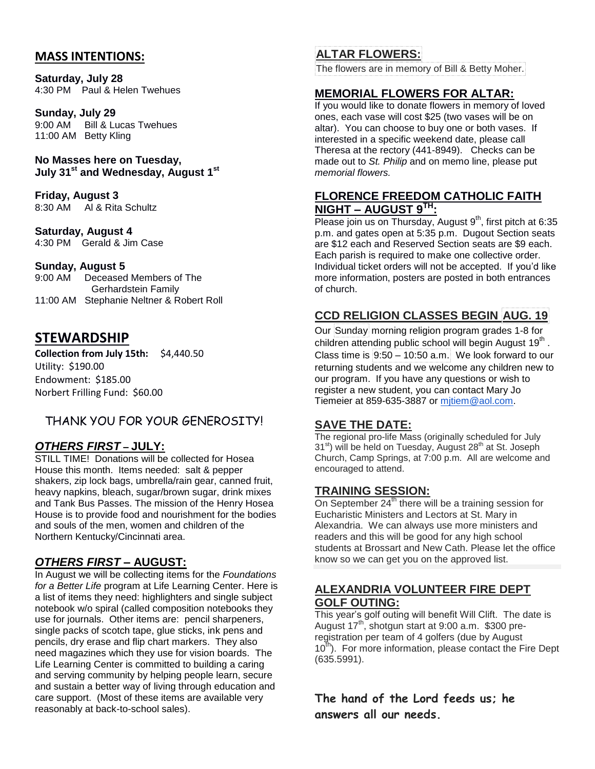#### **MASS INTENTIONS:**

**Saturday, July 28**  4:30 PM Paul & Helen Twehues

**Sunday, July 29**

9:00 AM Bill & Lucas Twehues 11:00 AM Betty Kling

**No Masses here on Tuesday, July 31 st and Wednesday, August 1st**

**Friday, August 3** 8:30 AM Al & Rita Schultz

**Saturday, August 4**  4:30 PM Gerald & Jim Case

#### **Sunday, August 5**

9:00 AM Deceased Members of The Gerhardstein Family 11:00 AM Stephanie Neltner & Robert Roll

## **STEWARDSHIP**

**Collection from July 15th:** \$4,440.50 Utility: \$190.00 Endowment: \$185.00 Norbert Frilling Fund: \$60.00

## THANK YOU FOR YOUR GENEROSITY!

#### *OTHERS FIRST* **– JULY:**

STILL TIME! Donations will be collected for Hosea House this month. Items needed: salt & pepper shakers, zip lock bags, umbrella/rain gear, canned fruit, heavy napkins, bleach, sugar/brown sugar, drink mixes and Tank Bus Passes. The mission of the Henry Hosea House is to provide food and nourishment for the bodies and souls of the men, women and children of the Northern Kentucky/Cincinnati area.

#### *OTHERS FIRST* **– AUGUST:**

In August we will be collecting items for the *Foundations for a Better Life* program at Life Learning Center. Here is a list of items they need: highlighters and single subject notebook w/o spiral (called composition notebooks they use for journals. Other items are: pencil sharpeners, single packs of scotch tape, glue sticks, ink pens and pencils, dry erase and flip chart markers. They also need magazines which they use for vision boards. The Life Learning Center is committed to building a caring and serving community by helping people learn, secure and sustain a better way of living through education and care support. (Most of these items are available very reasonably at back-to-school sales).

## **ALTAR FLOWERS:**

The flowers are in memory of Bill & Betty Moher.

#### **MEMORIAL FLOWERS FOR ALTAR:**

If you would like to donate flowers in memory of loved ones, each vase will cost \$25 (two vases will be on altar). You can choose to buy one or both vases. If interested in a specific weekend date, please call Theresa at the rectory (441-8949). Checks can be made out to *St. Philip* and on memo line, please put *memorial flowers.* 

#### **FLORENCE FREEDOM CATHOLIC FAITH NIGHT – AUGUST 9TH:**

Please join us on Thursday, August 9<sup>th</sup>, first pitch at 6:35 p.m. and gates open at 5:35 p.m. Dugout Section seats are \$12 each and Reserved Section seats are \$9 each. Each parish is required to make one collective order. Individual ticket orders will not be accepted. If you'd like more information, posters are posted in both entrances of church.

## **CCD RELIGION CLASSES BEGIN AUG. 19**

Our Sunday morning religion program grades 1-8 for children attending public school will begin August 19<sup>th</sup>. Class time is  $9:50 - 10:50$  a.m. We look forward to our returning students and we welcome any children new to our program. If you have any questions or wish to register a new student, you can contact Mary Jo Tiemeier at 859-635-3887 or [mjtiem@aol.com.](mailto:mjtiem@aol.com)

#### **SAVE THE DATE:**

The regional pro-life Mass (originally scheduled for July 31<sup>st</sup>) will be held on Tuesday, August 28<sup>th</sup> at St. Joseph Church, Camp Springs, at 7:00 p.m. All are welcome and encouraged to attend.

#### **TRAINING SESSION:**

On September  $24<sup>th</sup>$  there will be a training session for Eucharistic Ministers and Lectors at St. Mary in Alexandria. We can always use more ministers and readers and this will be good for any high school students at Brossart and New Cath. Please let the office know so we can get you on the approved list.

#### **ALEXANDRIA VOLUNTEER FIRE DEPT GOLF OUTING:**

This year's golf outing will benefit Will Clift. The date is August  $17^{th}$ , shotgun start at 9:00 a.m. \$300 preregistration per team of 4 golfers (due by August 10<sup>th</sup>). For more information, please contact the Fire Dept (635.5991).

**The hand of the Lord feeds us; he answers all our needs.**